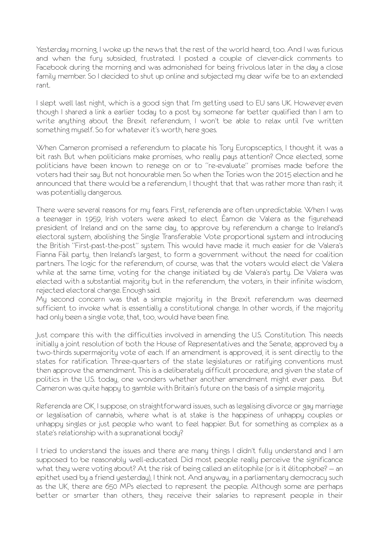Yesterday morning, I woke up the news that the rest of the world heard, too. And I was furious and when the fury subsided, frustrated. I posted a couple of clever-dick comments to Facebook during the morning and was admonished for being frivolous later in the day a close family member. So I decided to shut up online and subjected my dear wife be to an extended rant.

I slept well last night, which is a good sign that I'm getting used to EU sans UK. However even though I shared a link a earlier today to a post by someone far better qualified than I am to write anything about the Brexit referendum, I won't be able to relax until I've written something myself. So for whatever it's worth, here goes.

When Cameron promised a referendum to placate his Tory Europsceptics, I thought it was a bit rash. But when politicians make promises, who really pays attention? Once elected, some politicians have been known to renege on or to "re-evaluate" promises made before the voters had their say. But not honourable men. So when the Tories won the 2015 election and he announced that there would be a referendum, I thought that that was rather more than rash; it was potentially dangerous.

There were several reasons for my fears. First, referenda are often unpredictable. When I was a teenager in 1959, Irish voters were asked to elect Éamon de Valera as the figurehead president of Ireland and on the same day, to approve by referendum a change to Ireland's electoral system, abolishing the Single Transferable Vote proportional system and introducing the British "First-past-the-post" system. This would have made it much easier for de Valera's Fianna Fáil party, then Ireland's largest, to form a government without the need for coalition partners. The logic for the referendum, of course, was that the voters would elect de Valera while at the same time, voting for the change initiated by de Valera's party. De Valera was elected with a substantial majority but in the referendum, the voters, in their infinite wisdom, rejected electoral change. Enough said.

My second concern was that a simple majority in the Brexit referendum was deemed sufficient to invoke what is essentially a constitutional change. In other words, if the majority had only been a single vote, that, too, would have been fine.

Just compare this with the difficulties involved in amending the U.S. Constitution. This needs initially a joint resolution of both the House of Representatives and the Senate, approved by a two-thirds supermajority vote of each. If an amendment is approved, it is sent directly to the states for ratification. Three-quarters of the state legislatures or ratifying conventions must then approve the amendment. This is a deliberately difficult procedure, and given the state of politics in the U.S. today, one wonders whether another amendment might ever pass. But Cameron was quite happy to gamble with Britain's future on the basis of a simple majority.

Referenda are OK, I suppose, on straightforward issues, such as legalising divorce or gay marriage or legalisation of cannabis, where what is at stake is the happiness of unhappy couples or unhappy singles or just people who want to feel happier. But for something as complex as a state's relationship with a supranational body?

I tried to understand the issues and there are many things I didn't fully understand and I am supposed to be reasonably well-educated. Did most people really perceive the significance what they were voting about? At the risk of being called an elitophile (or is it élitophobe? — an epithet used by a friend yesterday), I think not. And anyway, in a parliamentary democracy such as the UK, there are 650 MPs elected to represent the people. Although some are perhaps better or smarter than others, they receive their salaries to represent people in their